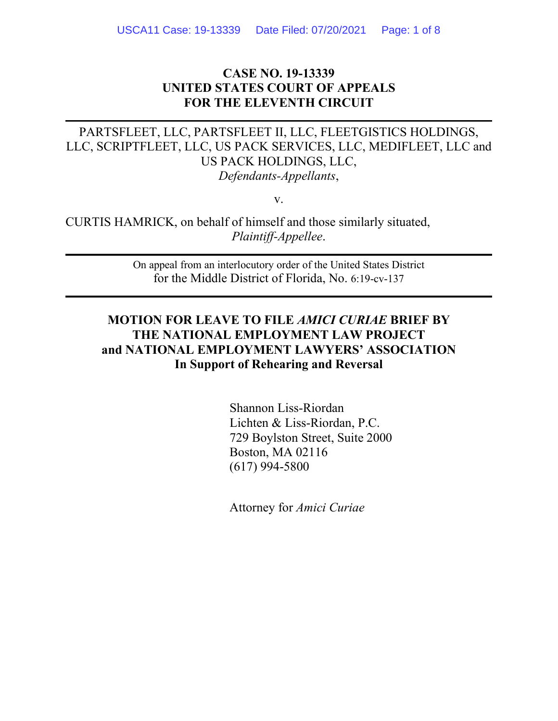## **CASE NO. 19-13339 UNITED STATES COURT OF APPEALS FOR THE ELEVENTH CIRCUIT**

# PARTSFLEET, LLC, PARTSFLEET II, LLC, FLEETGISTICS HOLDINGS, LLC, SCRIPTFLEET, LLC, US PACK SERVICES, LLC, MEDIFLEET, LLC and US PACK HOLDINGS, LLC,

*Defendants-Appellants*,

v.

CURTIS HAMRICK, on behalf of himself and those similarly situated, *Plaintiff-Appellee*.

> On appeal from an interlocutory order of the United States District for the Middle District of Florida, No. 6:19-cv-137

## **MOTION FOR LEAVE TO FILE** *AMICI CURIAE* **BRIEF BY THE NATIONAL EMPLOYMENT LAW PROJECT and NATIONAL EMPLOYMENT LAWYERS' ASSOCIATION In Support of Rehearing and Reversal**

Shannon Liss-Riordan Lichten & Liss-Riordan, P.C. 729 Boylston Street, Suite 2000 Boston, MA 02116 (617) 994-5800

Attorney for *Amici Curiae*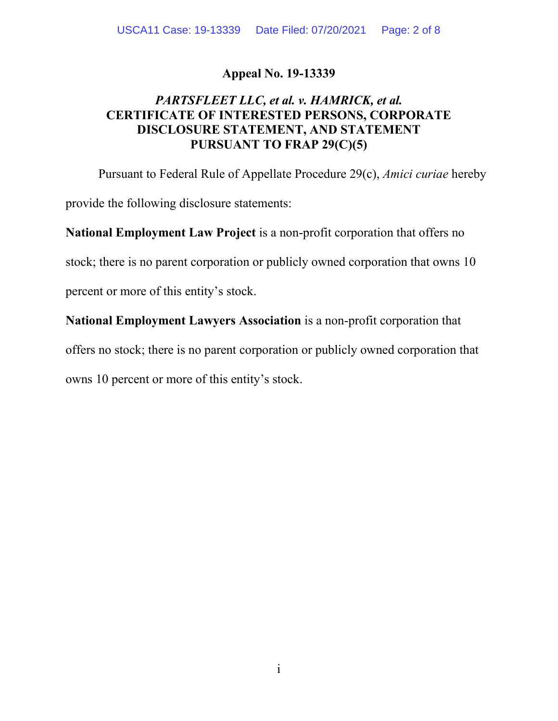### **Appeal No. 19-13339**

## *PARTSFLEET LLC, et al. v. HAMRICK, et al.* **CERTIFICATE OF INTERESTED PERSONS, CORPORATE DISCLOSURE STATEMENT, AND STATEMENT PURSUANT TO FRAP 29(C)(5)**

Pursuant to Federal Rule of Appellate Procedure 29(c), *Amici curiae* hereby

provide the following disclosure statements:

**National Employment Law Project** is a non-profit corporation that offers no

stock; there is no parent corporation or publicly owned corporation that owns 10

percent or more of this entity's stock.

**National Employment Lawyers Association** is a non-profit corporation that

offers no stock; there is no parent corporation or publicly owned corporation that

owns 10 percent or more of this entity's stock.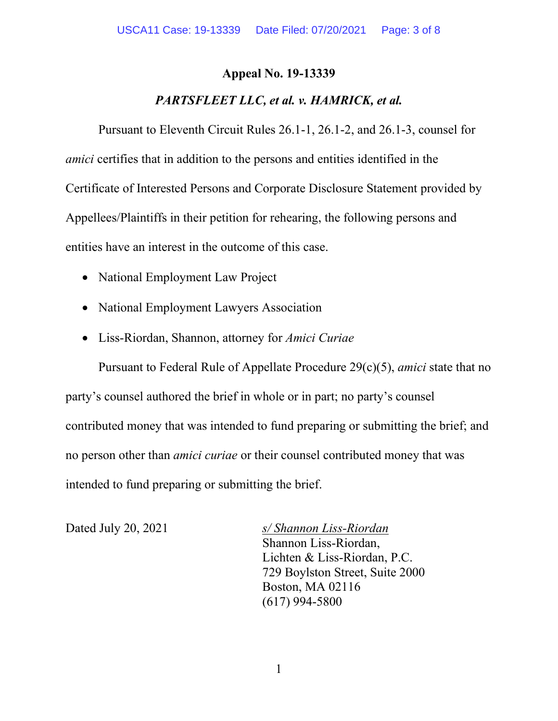### **Appeal No. 19-13339**

### *PARTSFLEET LLC, et al. v. HAMRICK, et al.*

Pursuant to Eleventh Circuit Rules 26.1-1, 26.1-2, and 26.1-3, counsel for *amici* certifies that in addition to the persons and entities identified in the Certificate of Interested Persons and Corporate Disclosure Statement provided by Appellees/Plaintiffs in their petition for rehearing, the following persons and entities have an interest in the outcome of this case.

- National Employment Law Project
- National Employment Lawyers Association
- Liss-Riordan, Shannon, attorney for *Amici Curiae*

Pursuant to Federal Rule of Appellate Procedure 29(c)(5), *amici* state that no party's counsel authored the brief in whole or in part; no party's counsel contributed money that was intended to fund preparing or submitting the brief; and no person other than *amici curiae* or their counsel contributed money that was intended to fund preparing or submitting the brief.

Dated July 20, 2021 *s/ Shannon Liss-Riordan*  Shannon Liss-Riordan, Lichten & Liss-Riordan, P.C. 729 Boylston Street, Suite 2000 Boston, MA 02116 (617) 994-5800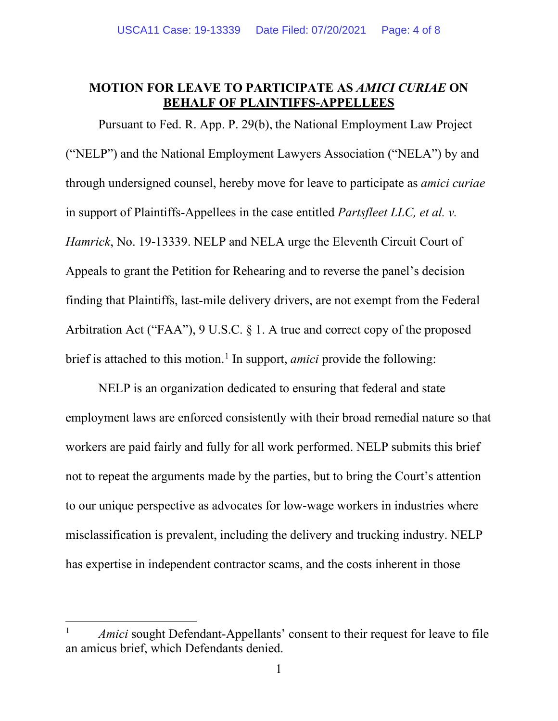### **MOTION FOR LEAVE TO PARTICIPATE AS** *AMICI CURIAE* **ON BEHALF OF PLAINTIFFS-APPELLEES**

Pursuant to Fed. R. App. P. 29(b), the National Employment Law Project ("NELP") and the National Employment Lawyers Association ("NELA") by and through undersigned counsel, hereby move for leave to participate as *amici curiae*  in support of Plaintiffs-Appellees in the case entitled *Partsfleet LLC, et al. v. Hamrick*, No. 19-13339. NELP and NELA urge the Eleventh Circuit Court of Appeals to grant the Petition for Rehearing and to reverse the panel's decision finding that Plaintiffs, last-mile delivery drivers, are not exempt from the Federal Arbitration Act ("FAA"), 9 U.S.C. § 1. A true and correct copy of the proposed brief is attached to this motion.<sup>[1](#page-28-0)</sup> In support, *amici* provide the following:

NELP is an organization dedicated to ensuring that federal and state employment laws are enforced consistently with their broad remedial nature so that workers are paid fairly and fully for all work performed. NELP submits this brief not to repeat the arguments made by the parties, but to bring the Court's attention to our unique perspective as advocates for low-wage workers in industries where misclassification is prevalent, including the delivery and trucking industry. NELP has expertise in independent contractor scams, and the costs inherent in those

<sup>&</sup>lt;sup>1</sup> *Amici* sought Defendant-Appellants' consent to their request for leave to file an amicus brief, which Defendants denied.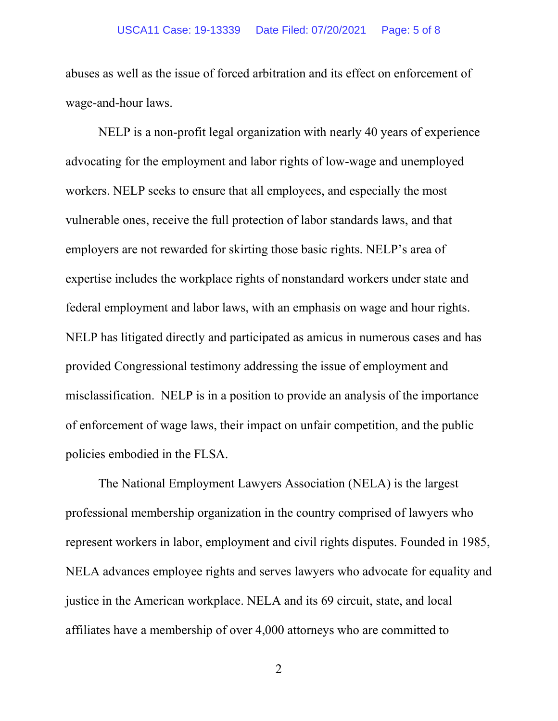abuses as well as the issue of forced arbitration and its effect on enforcement of wage-and-hour laws.

NELP is a non-profit legal organization with nearly 40 years of experience advocating for the employment and labor rights of low-wage and unemployed workers. NELP seeks to ensure that all employees, and especially the most vulnerable ones, receive the full protection of labor standards laws, and that employers are not rewarded for skirting those basic rights. NELP's area of expertise includes the workplace rights of nonstandard workers under state and federal employment and labor laws, with an emphasis on wage and hour rights. NELP has litigated directly and participated as amicus in numerous cases and has provided Congressional testimony addressing the issue of employment and misclassification. NELP is in a position to provide an analysis of the importance of enforcement of wage laws, their impact on unfair competition, and the public policies embodied in the FLSA.

The National Employment Lawyers Association (NELA) is the largest professional membership organization in the country comprised of lawyers who represent workers in labor, employment and civil rights disputes. Founded in 1985, NELA advances employee rights and serves lawyers who advocate for equality and justice in the American workplace. NELA and its 69 circuit, state, and local affiliates have a membership of over 4,000 attorneys who are committed to

2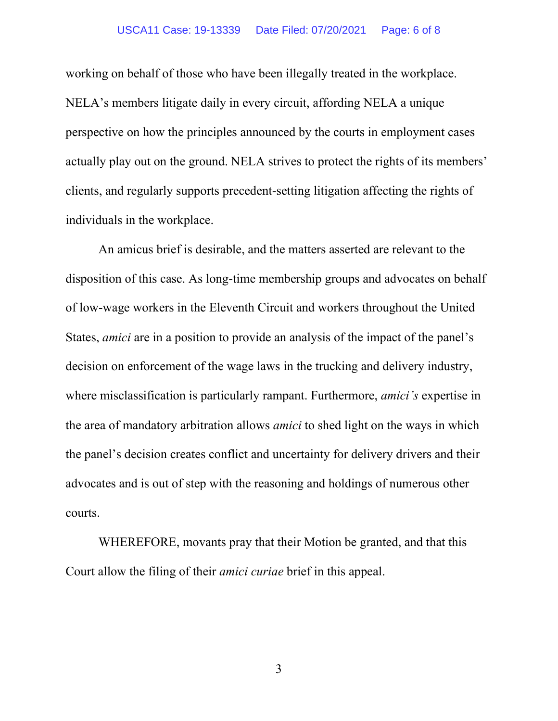#### USCA11 Case: 19-13339 Date Filed: 07/20/2021 Page: 6 of 8

working on behalf of those who have been illegally treated in the workplace. NELA's members litigate daily in every circuit, affording NELA a unique perspective on how the principles announced by the courts in employment cases actually play out on the ground. NELA strives to protect the rights of its members' clients, and regularly supports precedent-setting litigation affecting the rights of individuals in the workplace.

An amicus brief is desirable, and the matters asserted are relevant to the disposition of this case. As long-time membership groups and advocates on behalf of low-wage workers in the Eleventh Circuit and workers throughout the United States, *amici* are in a position to provide an analysis of the impact of the panel's decision on enforcement of the wage laws in the trucking and delivery industry, where misclassification is particularly rampant. Furthermore, *amici's* expertise in the area of mandatory arbitration allows *amici* to shed light on the ways in which the panel's decision creates conflict and uncertainty for delivery drivers and their advocates and is out of step with the reasoning and holdings of numerous other courts.

WHEREFORE, movants pray that their Motion be granted, and that this Court allow the filing of their *amici curiae* brief in this appeal.

3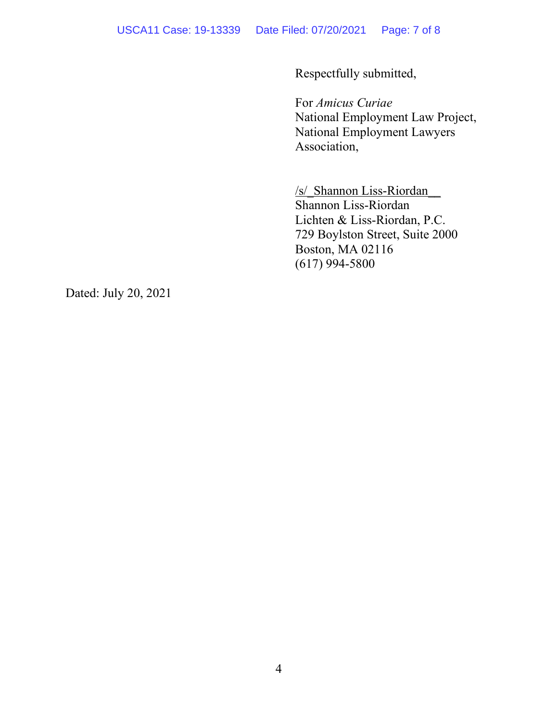Respectfully submitted,

For *Amicus Curiae*  National Employment Law Project, National Employment Lawyers Association,

/s/\_Shannon Liss-Riordan\_\_ Shannon Liss-Riordan Lichten & Liss-Riordan, P.C. 729 Boylston Street, Suite 2000 Boston, MA 02116 (617) 994-5800

Dated: July 20, 2021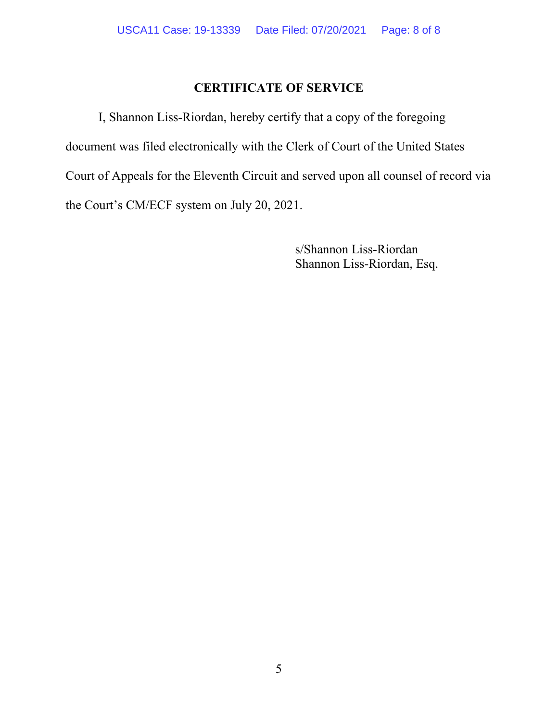## **CERTIFICATE OF SERVICE**

I, Shannon Liss-Riordan, hereby certify that a copy of the foregoing document was filed electronically with the Clerk of Court of the United States Court of Appeals for the Eleventh Circuit and served upon all counsel of record via the Court's CM/ECF system on July 20, 2021.

> s/Shannon Liss-Riordan Shannon Liss-Riordan, Esq.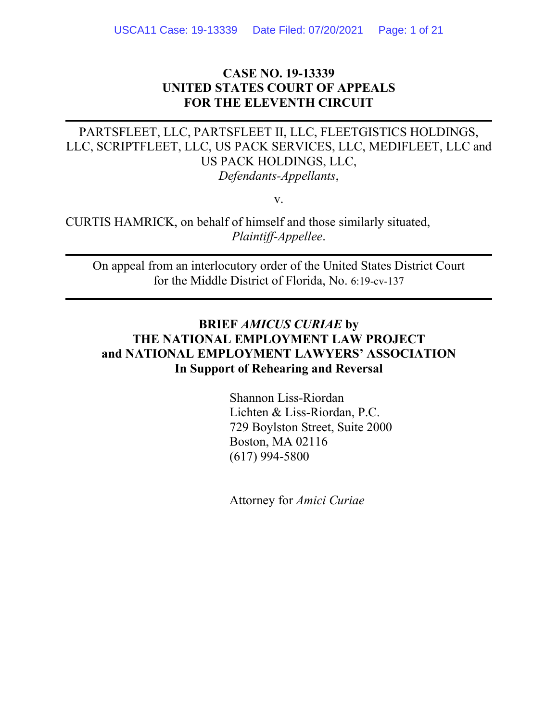## **CASE NO. 19-13339 UNITED STATES COURT OF APPEALS FOR THE ELEVENTH CIRCUIT**

# PARTSFLEET, LLC, PARTSFLEET II, LLC, FLEETGISTICS HOLDINGS, LLC, SCRIPTFLEET, LLC, US PACK SERVICES, LLC, MEDIFLEET, LLC and US PACK HOLDINGS, LLC,

*Defendants-Appellants*,

v.

CURTIS HAMRICK, on behalf of himself and those similarly situated, *Plaintiff-Appellee*.

On appeal from an interlocutory order of the United States District Court for the Middle District of Florida, No. 6:19-cv-137

## **BRIEF** *AMICUS CURIAE* **by THE NATIONAL EMPLOYMENT LAW PROJECT and NATIONAL EMPLOYMENT LAWYERS' ASSOCIATION In Support of Rehearing and Reversal**

Shannon Liss-Riordan Lichten & Liss-Riordan, P.C. 729 Boylston Street, Suite 2000 Boston, MA 02116 (617) 994-5800

Attorney for *Amici Curiae*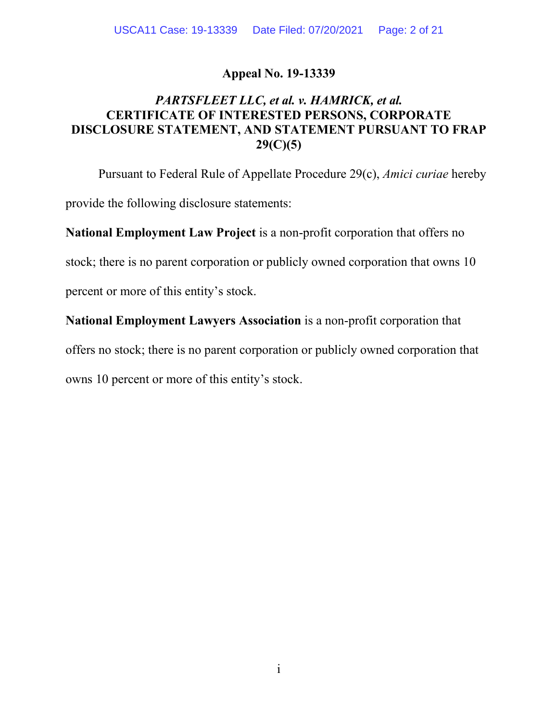### **Appeal No. 19-13339**

## *PARTSFLEET LLC, et al. v. HAMRICK, et al.* **CERTIFICATE OF INTERESTED PERSONS, CORPORATE DISCLOSURE STATEMENT, AND STATEMENT PURSUANT TO FRAP 29(C)(5)**

Pursuant to Federal Rule of Appellate Procedure 29(c), *Amici curiae* hereby

provide the following disclosure statements:

**National Employment Law Project** is a non-profit corporation that offers no

stock; there is no parent corporation or publicly owned corporation that owns 10

percent or more of this entity's stock.

**National Employment Lawyers Association** is a non-profit corporation that

offers no stock; there is no parent corporation or publicly owned corporation that

owns 10 percent or more of this entity's stock.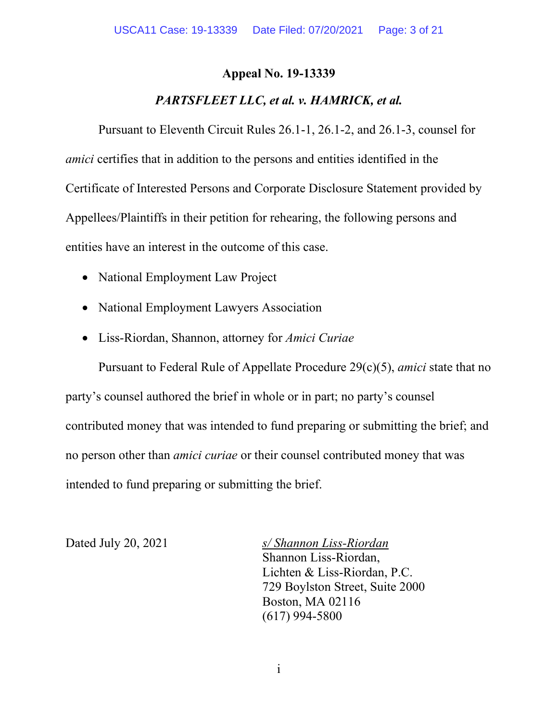#### **Appeal No. 19-13339**

### *PARTSFLEET LLC, et al. v. HAMRICK, et al.*

Pursuant to Eleventh Circuit Rules 26.1-1, 26.1-2, and 26.1-3, counsel for *amici* certifies that in addition to the persons and entities identified in the Certificate of Interested Persons and Corporate Disclosure Statement provided by Appellees/Plaintiffs in their petition for rehearing, the following persons and entities have an interest in the outcome of this case.

- National Employment Law Project
- National Employment Lawyers Association
- Liss-Riordan, Shannon, attorney for *Amici Curiae*

Pursuant to Federal Rule of Appellate Procedure 29(c)(5), *amici* state that no party's counsel authored the brief in whole or in part; no party's counsel contributed money that was intended to fund preparing or submitting the brief; and no person other than *amici curiae* or their counsel contributed money that was intended to fund preparing or submitting the brief.

Dated July 20, 2021 *s/ Shannon Liss-Riordan*  Shannon Liss-Riordan, Lichten & Liss-Riordan, P.C. 729 Boylston Street, Suite 2000 Boston, MA 02116 (617) 994-5800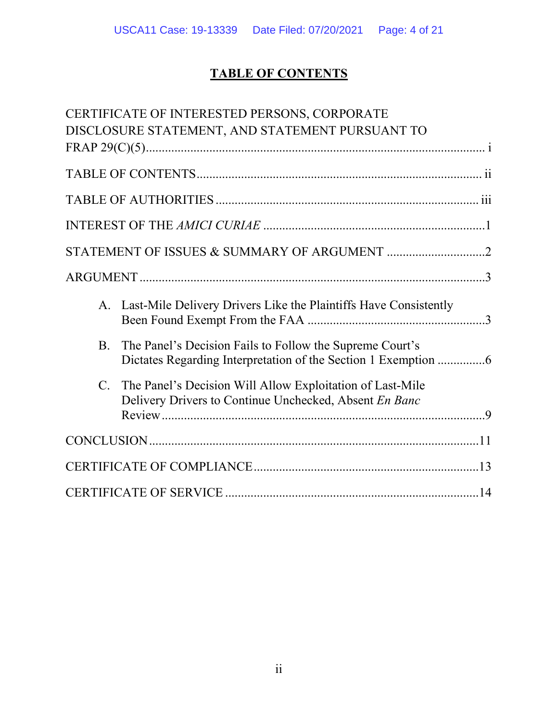# **TABLE OF CONTENTS**

|                | CERTIFICATE OF INTERESTED PERSONS, CORPORATE                                                                        |  |
|----------------|---------------------------------------------------------------------------------------------------------------------|--|
|                | DISCLOSURE STATEMENT, AND STATEMENT PURSUANT TO                                                                     |  |
|                |                                                                                                                     |  |
|                |                                                                                                                     |  |
|                |                                                                                                                     |  |
|                |                                                                                                                     |  |
|                |                                                                                                                     |  |
|                |                                                                                                                     |  |
|                | A. Last-Mile Delivery Drivers Like the Plaintiffs Have Consistently                                                 |  |
| <b>B.</b>      | The Panel's Decision Fails to Follow the Supreme Court's                                                            |  |
| $\mathbf{C}$ . | The Panel's Decision Will Allow Exploitation of Last-Mile<br>Delivery Drivers to Continue Unchecked, Absent En Banc |  |
|                |                                                                                                                     |  |
|                |                                                                                                                     |  |
|                |                                                                                                                     |  |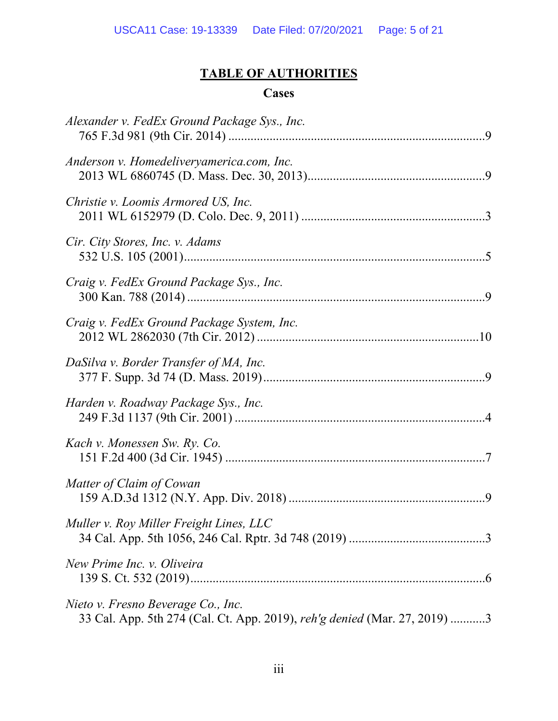# **TABLE OF AUTHORITIES**

# **Cases**

| Alexander v. FedEx Ground Package Sys., Inc.                                                                    |
|-----------------------------------------------------------------------------------------------------------------|
| Anderson v. Homedeliveryamerica.com, Inc.                                                                       |
| Christie v. Loomis Armored US, Inc.                                                                             |
| Cir. City Stores, Inc. v. Adams                                                                                 |
| Craig v. FedEx Ground Package Sys., Inc.                                                                        |
| Craig v. FedEx Ground Package System, Inc.                                                                      |
| DaSilva v. Border Transfer of MA, Inc.                                                                          |
| Harden v. Roadway Package Sys., Inc.                                                                            |
| Kach v. Monessen Sw. Ry. Co.                                                                                    |
| Matter of Claim of Cowan                                                                                        |
| Muller v. Roy Miller Freight Lines, LLC                                                                         |
| New Prime Inc. v. Oliveira                                                                                      |
| Nieto v. Fresno Beverage Co., Inc.<br>33 Cal. App. 5th 274 (Cal. Ct. App. 2019), reh'g denied (Mar. 27, 2019) 3 |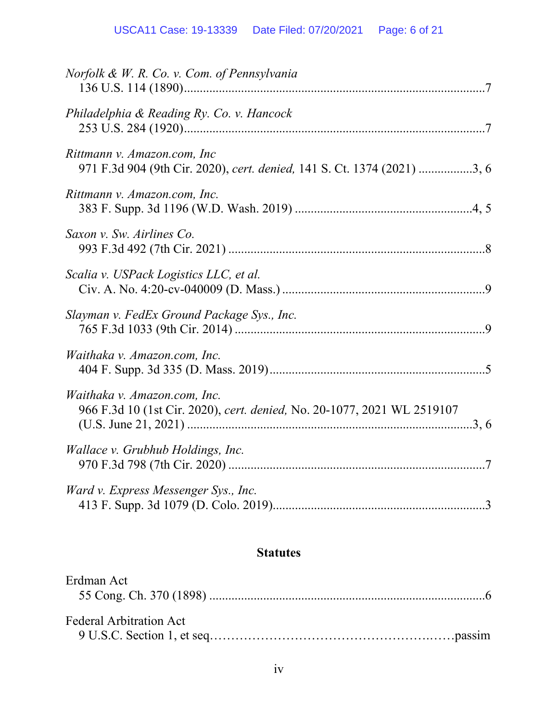| Norfolk & W. R. Co. v. Com. of Pennsylvania                                                             |  |
|---------------------------------------------------------------------------------------------------------|--|
| Philadelphia & Reading Ry. Co. v. Hancock                                                               |  |
| Rittmann v. Amazon.com, Inc.<br>971 F.3d 904 (9th Cir. 2020), cert. denied, 141 S. Ct. 1374 (2021) 3, 6 |  |
| Rittmann v. Amazon.com, Inc.                                                                            |  |
| Saxon v. Sw. Airlines Co.                                                                               |  |
| Scalia v. USPack Logistics LLC, et al.                                                                  |  |
| Slayman v. FedEx Ground Package Sys., Inc.                                                              |  |
| Waithaka v. Amazon.com, Inc.                                                                            |  |
| Waithaka v. Amazon.com, Inc.<br>966 F.3d 10 (1st Cir. 2020), cert. denied, No. 20-1077, 2021 WL 2519107 |  |
| <i>Wallace v. Grubhub Holdings, Inc.</i>                                                                |  |
| Ward v. Express Messenger Sys., Inc.                                                                    |  |

## **Statutes**

| Erdman Act                     |  |
|--------------------------------|--|
| <b>Federal Arbitration Act</b> |  |
|                                |  |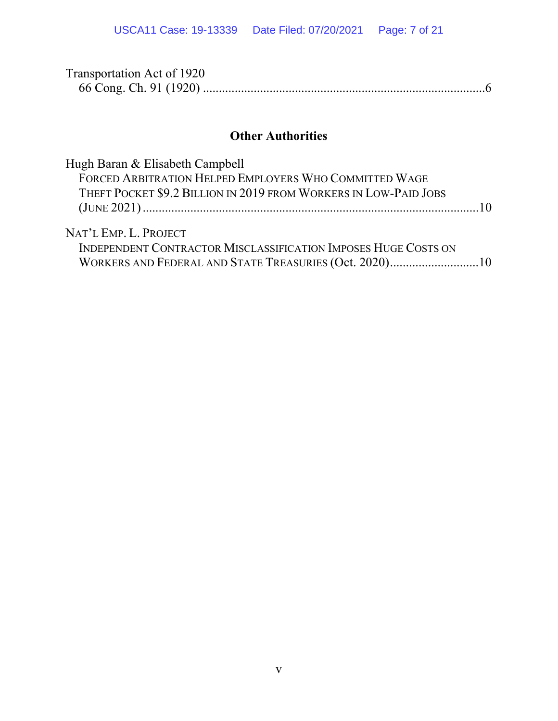| Transportation Act of 1920 |  |
|----------------------------|--|
|                            |  |

## **Other Authorities**

| Hugh Baran & Elisabeth Campbell                                  |  |
|------------------------------------------------------------------|--|
| FORCED ARBITRATION HELPED EMPLOYERS WHO COMMITTED WAGE           |  |
| THEFT POCKET \$9.2 BILLION IN 2019 FROM WORKERS IN LOW-PAID JOBS |  |
|                                                                  |  |
| NAT'L EMP. L. PROJECT                                            |  |
| INDEPENDENT CONTRACTOR MISCLASSIFICATION IMPOSES HUGE COSTS ON   |  |
| WORKERS AND FEDERAL AND STATE TREASURIES (Oct. 2020)10           |  |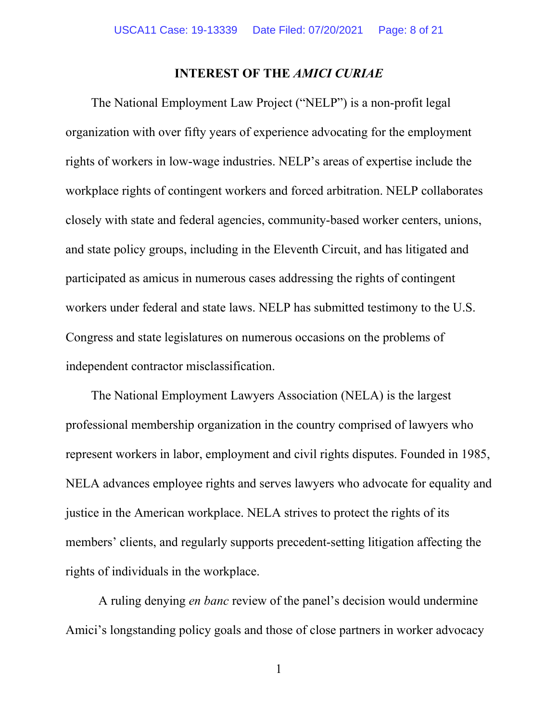#### **INTEREST OF THE** *AMICI CURIAE*

The National Employment Law Project ("NELP") is a non-profit legal organization with over fifty years of experience advocating for the employment rights of workers in low-wage industries. NELP's areas of expertise include the workplace rights of contingent workers and forced arbitration. NELP collaborates closely with state and federal agencies, community-based worker centers, unions, and state policy groups, including in the Eleventh Circuit, and has litigated and participated as amicus in numerous cases addressing the rights of contingent workers under federal and state laws. NELP has submitted testimony to the U.S. Congress and state legislatures on numerous occasions on the problems of independent contractor misclassification.

The National Employment Lawyers Association (NELA) is the largest professional membership organization in the country comprised of lawyers who represent workers in labor, employment and civil rights disputes. Founded in 1985, NELA advances employee rights and serves lawyers who advocate for equality and justice in the American workplace. NELA strives to protect the rights of its members' clients, and regularly supports precedent-setting litigation affecting the rights of individuals in the workplace.

A ruling denying *en banc* review of the panel's decision would undermine Amici's longstanding policy goals and those of close partners in worker advocacy

1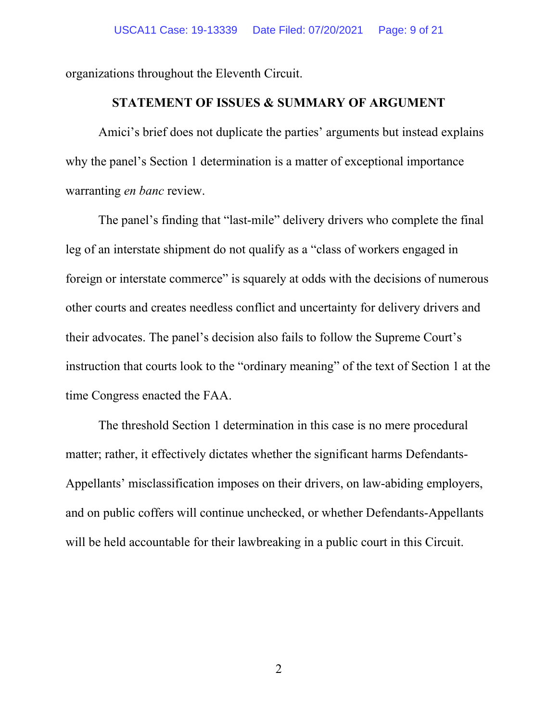organizations throughout the Eleventh Circuit.

### **STATEMENT OF ISSUES & SUMMARY OF ARGUMENT**

Amici's brief does not duplicate the parties' arguments but instead explains why the panel's Section 1 determination is a matter of exceptional importance warranting *en banc* review.

The panel's finding that "last-mile" delivery drivers who complete the final leg of an interstate shipment do not qualify as a "class of workers engaged in foreign or interstate commerce" is squarely at odds with the decisions of numerous other courts and creates needless conflict and uncertainty for delivery drivers and their advocates. The panel's decision also fails to follow the Supreme Court's instruction that courts look to the "ordinary meaning" of the text of Section 1 at the time Congress enacted the FAA.

The threshold Section 1 determination in this case is no mere procedural matter; rather, it effectively dictates whether the significant harms Defendants-Appellants' misclassification imposes on their drivers, on law-abiding employers, and on public coffers will continue unchecked, or whether Defendants-Appellants will be held accountable for their lawbreaking in a public court in this Circuit.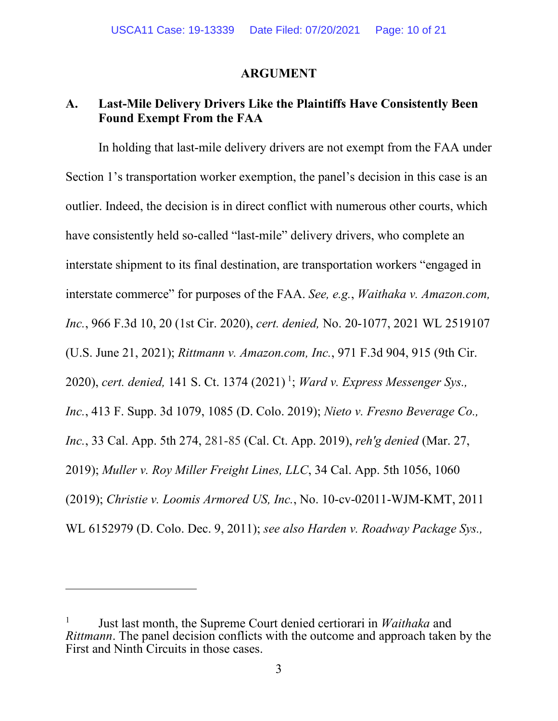#### **ARGUMENT**

### **A. Last-Mile Delivery Drivers Like the Plaintiffs Have Consistently Been Found Exempt From the FAA**

In holding that last-mile delivery drivers are not exempt from the FAA under Section 1's transportation worker exemption, the panel's decision in this case is an outlier. Indeed, the decision is in direct conflict with numerous other courts, which have consistently held so-called "last-mile" delivery drivers, who complete an interstate shipment to its final destination, are transportation workers "engaged in interstate commerce" for purposes of the FAA. *See, e.g.*, *Waithaka v. Amazon.com, Inc.*, 966 F.3d 10, 20 (1st Cir. 2020), *cert. denied,* No. 20-1077, 2021 WL 2519107 (U.S. June 21, 2021); *Rittmann v. Amazon.com, Inc.*, 971 F.3d 904, 915 (9th Cir. 2020), *cert. denied,* 141 S. Ct. 1374 (2021) [1](#page-28-0) ; *Ward v. Express Messenger Sys., Inc.*, 413 F. Supp. 3d 1079, 1085 (D. Colo. 2019); *Nieto v. Fresno Beverage Co., Inc.*, 33 Cal. App. 5th 274, 281-85 (Cal. Ct. App. 2019), *reh'g denied* (Mar. 27, 2019); *Muller v. Roy Miller Freight Lines, LLC*, 34 Cal. App. 5th 1056, 1060 (2019); *Christie v. Loomis Armored US, Inc.*, No. 10-cv-02011-WJM-KMT, 2011 WL 6152979 (D. Colo. Dec. 9, 2011); *see also Harden v. Roadway Package Sys.,* 

<sup>1</sup> Just last month, the Supreme Court denied certiorari in *Waithaka* and *Rittmann*. The panel decision conflicts with the outcome and approach taken by the First and Ninth Circuits in those cases.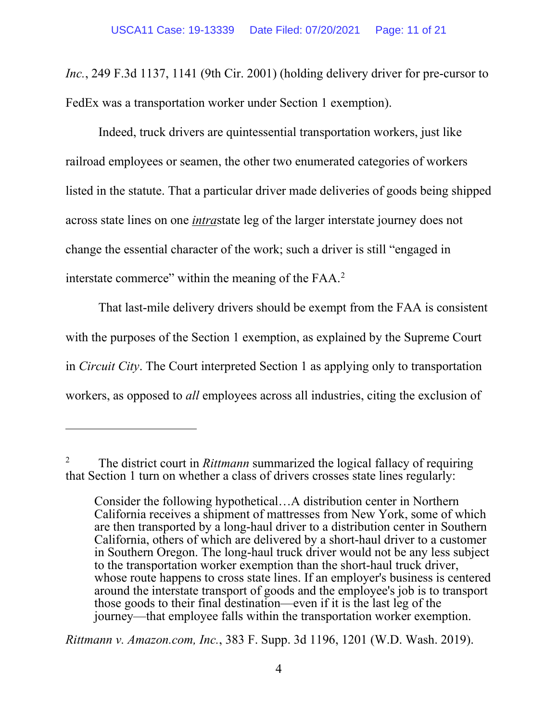*Inc.*, 249 F.3d 1137, 1141 (9th Cir. 2001) (holding delivery driver for pre-cursor to FedEx was a transportation worker under Section 1 exemption).

Indeed, truck drivers are quintessential transportation workers, just like railroad employees or seamen, the other two enumerated categories of workers listed in the statute. That a particular driver made deliveries of goods being shipped across state lines on one *intra*state leg of the larger interstate journey does not change the essential character of the work; such a driver is still "engaged in interstate commerce" within the meaning of the FAA.<sup>[2](#page-28-0)</sup>

That last-mile delivery drivers should be exempt from the FAA is consistent with the purposes of the Section 1 exemption, as explained by the Supreme Court in *Circuit City*. The Court interpreted Section 1 as applying only to transportation workers, as opposed to *all* employees across all industries, citing the exclusion of

*Rittmann v. Amazon.com, Inc.*, 383 F. Supp. 3d 1196, 1201 (W.D. Wash. 2019).

<sup>2</sup> The district court in *Rittmann* summarized the logical fallacy of requiring that Section 1 turn on whether a class of drivers crosses state lines regularly:

Consider the following hypothetical…A distribution center in Northern California receives a shipment of mattresses from New York, some of which are then transported by a long-haul driver to a distribution center in Southern California, others of which are delivered by a short-haul driver to a customer in Southern Oregon. The long-haul truck driver would not be any less subject to the transportation worker exemption than the short-haul truck driver, whose route happens to cross state lines. If an employer's business is centered around the interstate transport of goods and the employee's job is to transport those goods to their final destination—even if it is the last leg of the journey—that employee falls within the transportation worker exemption.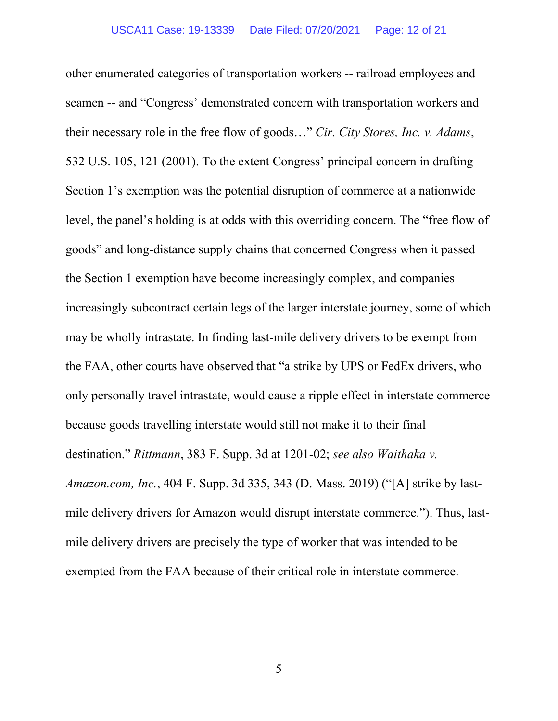other enumerated categories of transportation workers -- railroad employees and seamen -- and "Congress' demonstrated concern with transportation workers and their necessary role in the free flow of goods…" *Cir. City Stores, Inc. v. Adams*, 532 U.S. 105, 121 (2001). To the extent Congress' principal concern in drafting Section 1's exemption was the potential disruption of commerce at a nationwide level, the panel's holding is at odds with this overriding concern. The "free flow of goods" and long-distance supply chains that concerned Congress when it passed the Section 1 exemption have become increasingly complex, and companies increasingly subcontract certain legs of the larger interstate journey, some of which may be wholly intrastate. In finding last-mile delivery drivers to be exempt from the FAA, other courts have observed that "a strike by UPS or FedEx drivers, who only personally travel intrastate, would cause a ripple effect in interstate commerce because goods travelling interstate would still not make it to their final destination." *Rittmann*, 383 F. Supp. 3d at 1201-02; *see also Waithaka v. Amazon.com, Inc.*, 404 F. Supp. 3d 335, 343 (D. Mass. 2019) ("[A] strike by lastmile delivery drivers for Amazon would disrupt interstate commerce."). Thus, lastmile delivery drivers are precisely the type of worker that was intended to be exempted from the FAA because of their critical role in interstate commerce.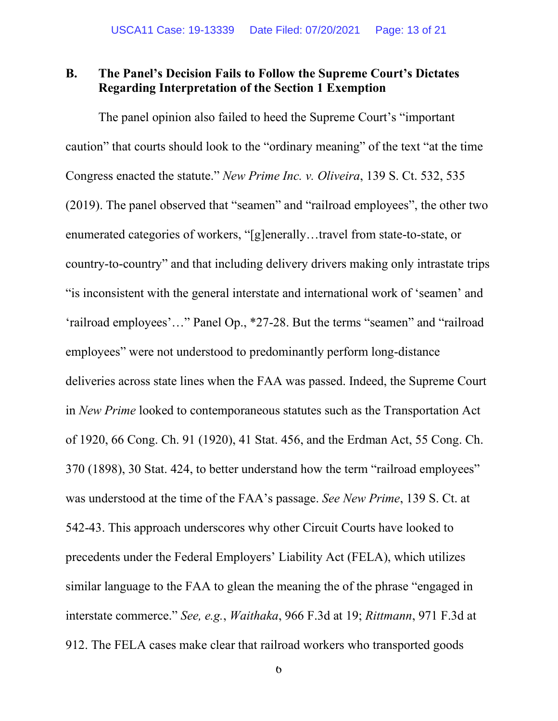### **B. The Panel's Decision Fails to Follow the Supreme Court's Dictates Regarding Interpretation of the Section 1 Exemption**

The panel opinion also failed to heed the Supreme Court's "important caution" that courts should look to the "ordinary meaning" of the text "at the time Congress enacted the statute." *New Prime Inc. v. Oliveira*, 139 S. Ct. 532, 535 (2019). The panel observed that "seamen" and "railroad employees", the other two enumerated categories of workers, "[g]enerally…travel from state-to-state, or country-to-country" and that including delivery drivers making only intrastate trips "is inconsistent with the general interstate and international work of 'seamen' and 'railroad employees'…" Panel Op., \*27-28. But the terms "seamen" and "railroad employees" were not understood to predominantly perform long-distance deliveries across state lines when the FAA was passed. Indeed, the Supreme Court in *New Prime* looked to contemporaneous statutes such as the Transportation Act of 1920, 66 Cong. Ch. 91 (1920), 41 Stat. 456, and the Erdman Act, 55 Cong. Ch. 370 (1898), 30 Stat. 424, to better understand how the term "railroad employees" was understood at the time of the FAA's passage. *See New Prime*, 139 S. Ct. at 542-43. This approach underscores why other Circuit Courts have looked to precedents under the Federal Employers' Liability Act (FELA), which utilizes similar language to the FAA to glean the meaning the of the phrase "engaged in interstate commerce." *See, e.g.*, *Waithaka*, 966 F.3d at 19; *Rittmann*, 971 F.3d at 912. The FELA cases make clear that railroad workers who transported goods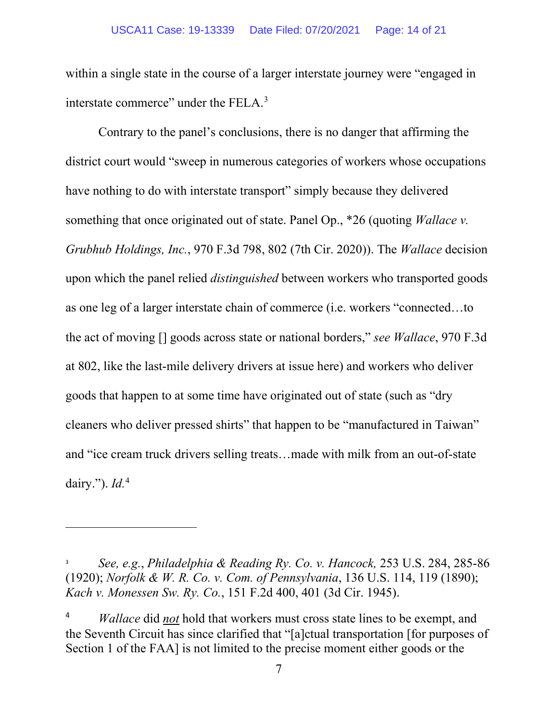within a single state in the course of a larger interstate journey were "engaged in interstate commerce" under the FELA.<sup>[3](#page-28-0)</sup>

Contrary to the panel's conclusions, there is no danger that affirming the district court would "sweep in numerous categories of workers whose occupations have nothing to do with interstate transport" simply because they delivered something that once originated out of state. Panel Op., \*26 (quoting *Wallace v. Grubhub Holdings, Inc.*, 970 F.3d 798, 802 (7th Cir. 2020)). The *Wallace* decision upon which the panel relied *distinguished* between workers who transported goods as one leg of a larger interstate chain of commerce (i.e. workers "connected…to the act of moving [] goods across state or national borders," *see Wallace*, 970 F.3d at 802, like the last-mile delivery drivers at issue here) and workers who deliver goods that happen to at some time have originated out of state (such as "dry cleaners who deliver pressed shirts" that happen to be "manufactured in Taiwan" and "ice cream truck drivers selling treats…made with milk from an out-of-state dairy."). *Id.*[4](#page-28-0)

<sup>3</sup> *See, e.g.*, *Philadelphia & Reading Ry. Co. v. Hancock,* 253 U.S. 284, 285-86 (1920); *Norfolk & W. R. Co. v. Com. of Pennsylvania*, 136 U.S. 114, 119 (1890); *Kach v. Monessen Sw. Ry. Co.*, 151 F.2d 400, 401 (3d Cir. 1945).

<sup>&</sup>lt;sup>4</sup> *Wallace* did *not* hold that workers must cross state lines to be exempt, and the Seventh Circuit has since clarified that "[a]ctual transportation [for purposes of Section 1 of the FAA] is not limited to the precise moment either goods or the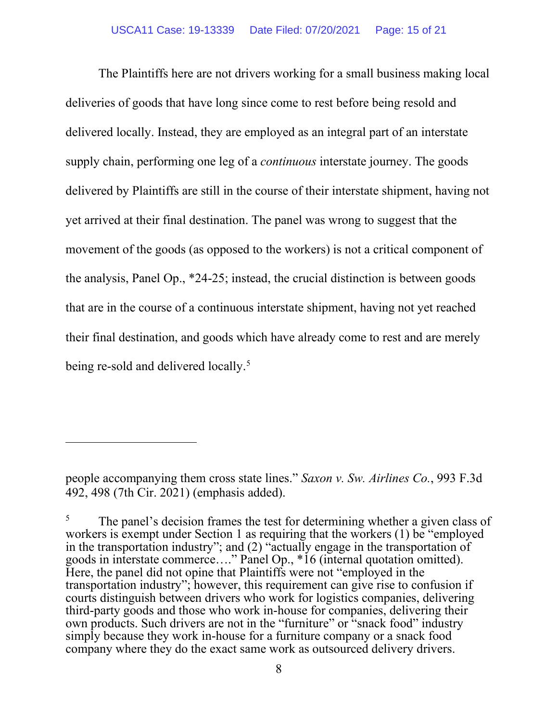The Plaintiffs here are not drivers working for a small business making local deliveries of goods that have long since come to rest before being resold and delivered locally. Instead, they are employed as an integral part of an interstate supply chain, performing one leg of a *continuous* interstate journey. The goods delivered by Plaintiffs are still in the course of their interstate shipment, having not yet arrived at their final destination. The panel was wrong to suggest that the movement of the goods (as opposed to the workers) is not a critical component of the analysis, Panel Op., \*24-25; instead, the crucial distinction is between goods that are in the course of a continuous interstate shipment, having not yet reached their final destination, and goods which have already come to rest and are merely being re-sold and delivered locally.<sup>[5](#page-28-0)</sup>

people accompanying them cross state lines." *Saxon v. Sw. Airlines Co.*, 993 F.3d 492, 498 (7th Cir. 2021) (emphasis added).

<sup>&</sup>lt;sup>5</sup> The panel's decision frames the test for determining whether a given class of workers is exempt under Section 1 as requiring that the workers (1) be "employed in the transportation industry"; and (2) "actually engage in the transportation of goods in interstate commerce…." Panel Op., \*16 (internal quotation omitted). Here, the panel did not opine that Plaintiffs were not "employed in the transportation industry"; however, this requirement can give rise to confusion if courts distinguish between drivers who work for logistics companies, delivering third-party goods and those who work in-house for companies, delivering their own products. Such drivers are not in the "furniture" or "snack food" industry simply because they work in-house for a furniture company or a snack food company where they do the exact same work as outsourced delivery drivers.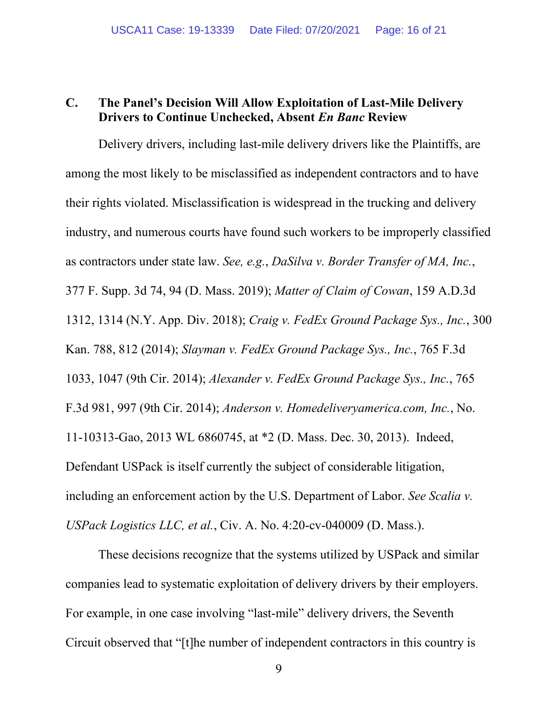## **C. The Panel's Decision Will Allow Exploitation of Last-Mile Delivery Drivers to Continue Unchecked, Absent** *En Banc* **Review**

Delivery drivers, including last-mile delivery drivers like the Plaintiffs, are among the most likely to be misclassified as independent contractors and to have their rights violated. Misclassification is widespread in the trucking and delivery industry, and numerous courts have found such workers to be improperly classified as contractors under state law. *See, e.g.*, *DaSilva v. Border Transfer of MA, Inc.*, 377 F. Supp. 3d 74, 94 (D. Mass. 2019); *Matter of Claim of Cowan*, 159 A.D.3d 1312, 1314 (N.Y. App. Div. 2018); *Craig v. FedEx Ground Package Sys., Inc.*, 300 Kan. 788, 812 (2014); *Slayman v. FedEx Ground Package Sys., Inc.*, 765 F.3d 1033, 1047 (9th Cir. 2014); *Alexander v. FedEx Ground Package Sys., Inc.*, 765 F.3d 981, 997 (9th Cir. 2014); *Anderson v. Homedeliveryamerica.com, Inc.*, No. 11-10313-Gao, 2013 WL 6860745, at \*2 (D. Mass. Dec. 30, 2013). Indeed, Defendant USPack is itself currently the subject of considerable litigation, including an enforcement action by the U.S. Department of Labor. *See Scalia v. USPack Logistics LLC, et al.*, Civ. A. No. 4:20-cv-040009 (D. Mass.).

These decisions recognize that the systems utilized by USPack and similar companies lead to systematic exploitation of delivery drivers by their employers. For example, in one case involving "last-mile" delivery drivers, the Seventh Circuit observed that "[t]he number of independent contractors in this country is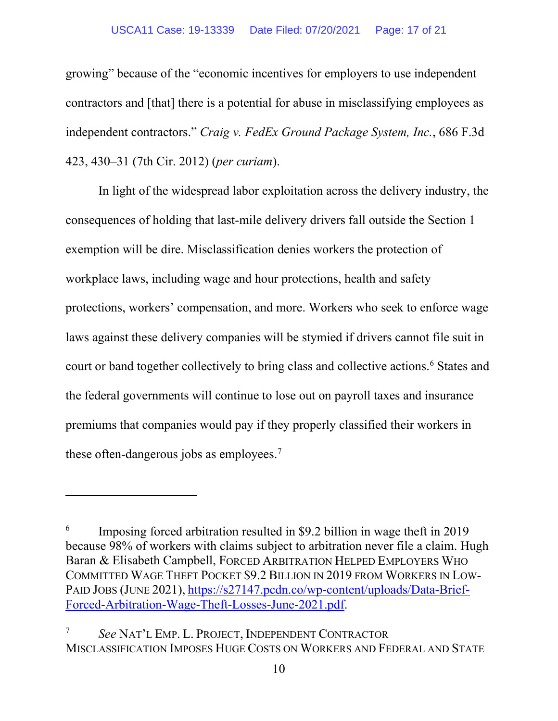#### USCA11 Case: 19-13339 Date Filed: 07/20/2021 Page: 17 of 21

growing" because of the "economic incentives for employers to use independent contractors and [that] there is a potential for abuse in misclassifying employees as independent contractors." *Craig v. FedEx Ground Package System, Inc.*, 686 F.3d 423, 430–31 (7th Cir. 2012) (*per curiam*).

In light of the widespread labor exploitation across the delivery industry, the consequences of holding that last-mile delivery drivers fall outside the Section 1 exemption will be dire. Misclassification denies workers the protection of workplace laws, including wage and hour protections, health and safety protections, workers' compensation, and more. Workers who seek to enforce wage laws against these delivery companies will be stymied if drivers cannot file suit in court or band together collectively to bring class and collective actions.<sup>[6](#page-28-0)</sup> States and the federal governments will continue to lose out on payroll taxes and insurance premiums that companies would pay if they properly classified their workers in these often-dangerous jobs as employees.<sup>[7](#page-28-0)</sup>

 $6$  Imposing forced arbitration resulted in \$9.2 billion in wage theft in 2019 because 98% of workers with claims subject to arbitration never file a claim. Hugh Baran & Elisabeth Campbell, FORCED ARBITRATION HELPED EMPLOYERS WHO COMMITTED WAGE THEFT POCKET \$9.2 BILLION IN 2019 FROM WORKERS IN LOW-PAID JOBS (JUNE 2021), [https://s27147.pcdn.co/wp-content/uploads/Data-Brief-](https://s27147.pcdn.co/wp-content/uploads/Data-Brief-Forced-Arbitration-Wage-Theft-Losses-June-2021.pdf)[Forced-Arbitration-Wage-Theft-Losses-June-2021.pdf.](https://s27147.pcdn.co/wp-content/uploads/Data-Brief-Forced-Arbitration-Wage-Theft-Losses-June-2021.pdf)

See NAT'L EMP. L. PROJECT, INDEPENDENT CONTRACTOR MISCLASSIFICATION IMPOSES HUGE COSTS ON WORKERS AND FEDERAL AND STATE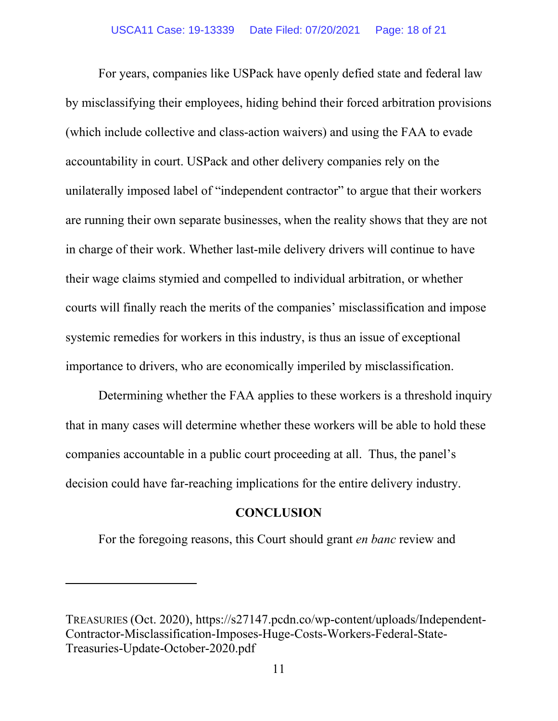For years, companies like USPack have openly defied state and federal law by misclassifying their employees, hiding behind their forced arbitration provisions (which include collective and class-action waivers) and using the FAA to evade accountability in court. USPack and other delivery companies rely on the unilaterally imposed label of "independent contractor" to argue that their workers are running their own separate businesses, when the reality shows that they are not in charge of their work. Whether last-mile delivery drivers will continue to have their wage claims stymied and compelled to individual arbitration, or whether courts will finally reach the merits of the companies' misclassification and impose systemic remedies for workers in this industry, is thus an issue of exceptional importance to drivers, who are economically imperiled by misclassification.

Determining whether the FAA applies to these workers is a threshold inquiry that in many cases will determine whether these workers will be able to hold these companies accountable in a public court proceeding at all. Thus, the panel's decision could have far-reaching implications for the entire delivery industry.

### **CONCLUSION**

For the foregoing reasons, this Court should grant *en banc* review and

TREASURIES (Oct. 2020), https://s27147.pcdn.co/wp-content/uploads/Independent-Contractor-Misclassification-Imposes-Huge-Costs-Workers-Federal-State-Treasuries-Update-October-2020.pdf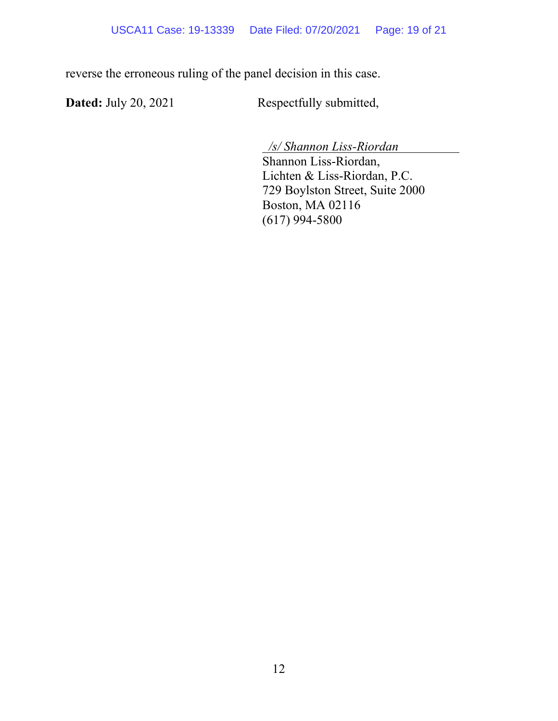reverse the erroneous ruling of the panel decision in this case.

**Dated:** July 20, 2021 Respectfully submitted,

*/s/ Shannon Liss-Riordan*

Shannon Liss-Riordan, Lichten & Liss-Riordan, P.C. 729 Boylston Street, Suite 2000 Boston, MA 02116 (617) 994-5800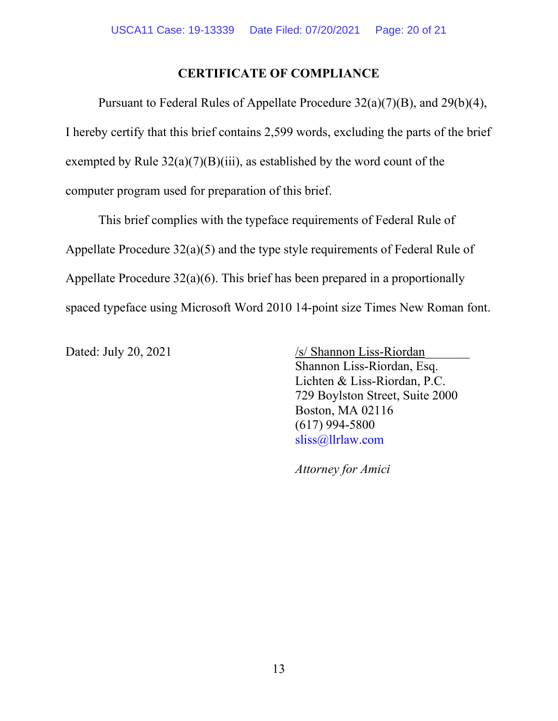### **CERTIFICATE OF COMPLIANCE**

Pursuant to Federal Rules of Appellate Procedure 32(a)(7)(B), and 29(b)(4), I hereby certify that this brief contains 2,599 words, excluding the parts of the brief exempted by Rule  $32(a)(7)(B)(iii)$ , as established by the word count of the computer program used for preparation of this brief.

This brief complies with the typeface requirements of Federal Rule of Appellate Procedure 32(a)(5) and the type style requirements of Federal Rule of Appellate Procedure 32(a)(6). This brief has been prepared in a proportionally spaced typeface using Microsoft Word 2010 14-point size Times New Roman font.

Dated: July 20, 2021 /s/ Shannon Liss-Riordan Shannon Liss-Riordan, Esq. Lichten & Liss-Riordan, P.C. 729 Boylston Street, Suite 2000 Boston, MA 02116 (617) 994-5800 sliss@llrlaw.com

*Attorney for Amici*